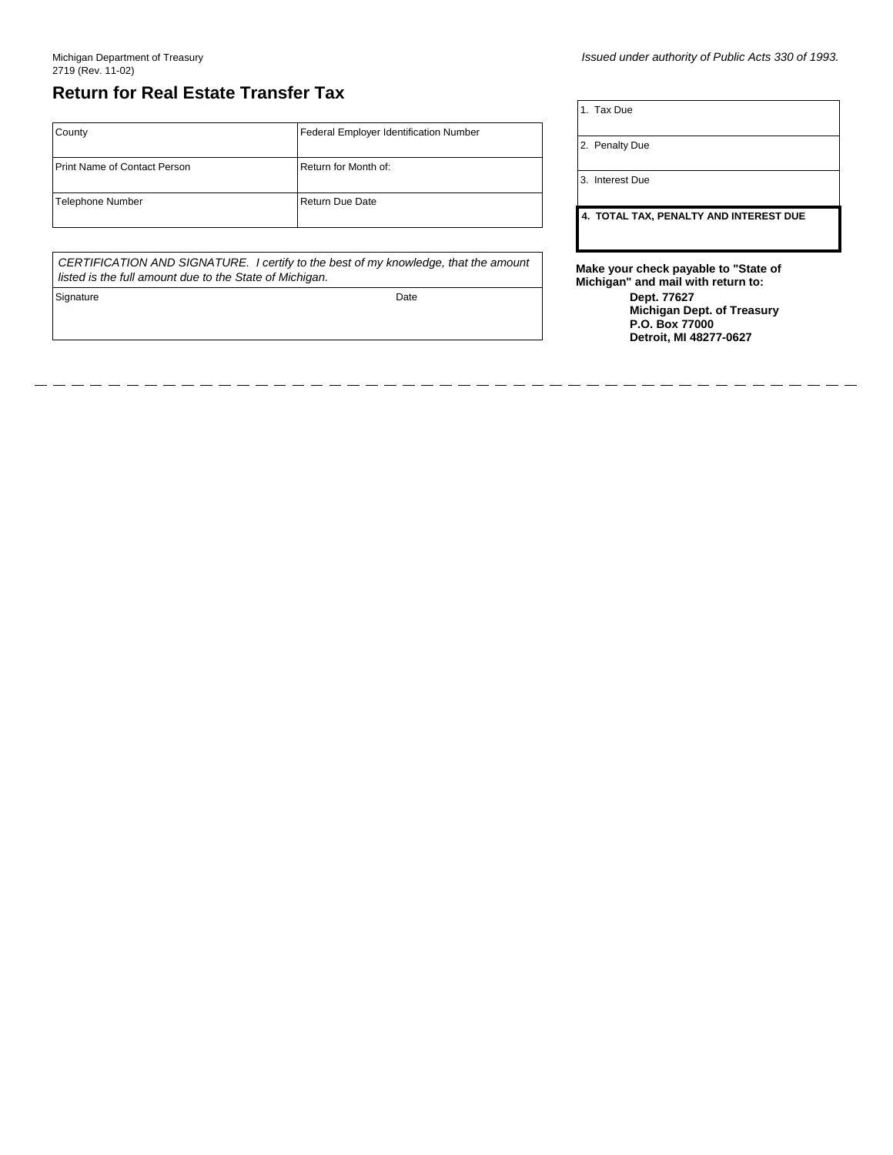## **Return for Real Estate Transfer Tax**

## **County** Print Name of Contact Person Telephone Number **Federal Employer Identification Number** Return for Month of: Return Due Date

*CERTIFICATION AND SIGNATURE. I certify to the best of my knowledge, that the amount listed is the full amount due to the State of Michigan.*

Signature Date Date Communications and Date Date Date

*Issued under authority of Public Acts 330 of 1993.*

1. Tax Due

2. Penalty Due

3. Interest Due

**4. TOTAL TAX, PENALTY AND INTEREST DUE**

**Make your check payable to "State of Michigan" and mail with return to:**

**Dept. 77627 Michigan Dept. of Treasury P.O. Box 77000 Detroit, MI 48277-0627**